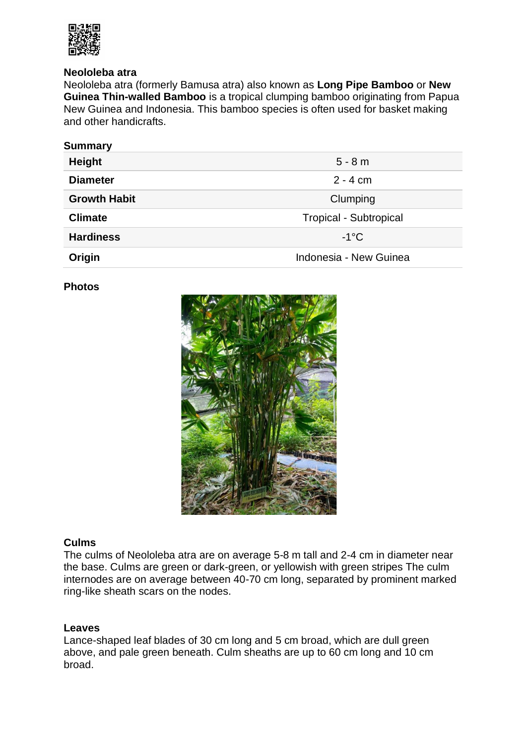

## **Neololeba atra**

Neololeba atra (formerly Bamusa atra) also known as **Long Pipe Bamboo** or **New Guinea Thin-walled Bamboo** is a tropical clumping bamboo originating from Papua New Guinea and Indonesia. This bamboo species is often used for basket making and other handicrafts.

| <b>Summary</b>      |                               |
|---------------------|-------------------------------|
| <b>Height</b>       | $5 - 8m$                      |
| <b>Diameter</b>     | $2 - 4$ cm                    |
| <b>Growth Habit</b> | Clumping                      |
| <b>Climate</b>      | <b>Tropical - Subtropical</b> |
| <b>Hardiness</b>    | $-1$ °C                       |
| Origin              | Indonesia - New Guinea        |

### **Photos**



#### **Culms**

The culms of Neololeba atra are on average 5-8 m tall and 2-4 cm in diameter near the base. Culms are green or dark-green, or yellowish with green stripes The culm internodes are on average between 40-70 cm long, separated by prominent marked ring-like sheath scars on the nodes.

#### **Leaves**

Lance-shaped leaf blades of 30 cm long and 5 cm broad, which are dull green above, and pale green beneath. Culm sheaths are up to 60 cm long and 10 cm broad.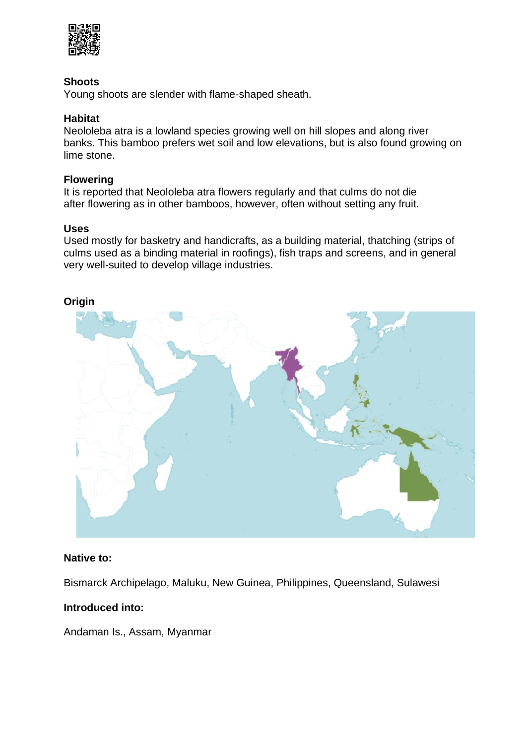

# **Shoots**

Young shoots are slender with flame-shaped sheath.

# **Habitat**

Neololeba atra is a lowland species growing well on hill slopes and along river banks. This bamboo prefers wet soil and low elevations, but is also found growing on lime stone.

# **Flowering**

It is reported that Neololeba atra flowers regularly and that culms do not die after flowering as in other bamboos, however, often without setting any fruit.

## **Uses**

Used mostly for basketry and handicrafts, as a building material, thatching (strips of culms used as a binding material in roofings), fish traps and screens, and in general very well-suited to develop village industries.



#### **Native to:**

Bismarck Archipelago, Maluku, New Guinea, Philippines, Queensland, Sulawesi

## **Introduced into:**

Andaman Is., Assam, Myanmar